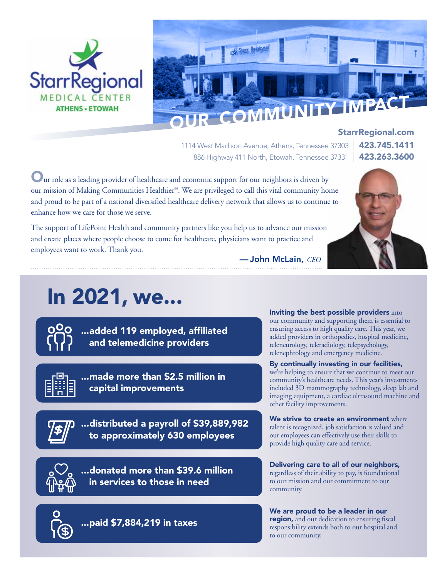



1114 West Madison Avenue, Athens, Tennessee 37303 | 423.745.1411 886 Highway 411 North, Etowah, Tennessee 37331 | 423.263.3600

— John McLain, *CEO*

StarrRegional.com

Our role as a leading provider of healthcare and economic support for our neighbors is driven by our mission of Making Communities Healthier®. We are privileged to call this vital community home and proud to be part of a national diversified healthcare delivery network that allows us to continue to enhance how we care for those we serve.

The support of LifePoint Health and community partners like you help us to advance our mission and create places where people choose to come for healthcare, physicians want to practice and employees want to work. Thank you.

# In 2021, we...



...added 119 employed, affiliated and telemedicine providers



...made more than \$2.5 million in capital improvements



...distributed a payroll of \$39,889,982 to approximately 630 employees



...donated more than \$39.6 million in services to those in need

...paid \$7,884,219 in taxes

Inviting the best possible providers into our community and supporting them is essential to ensuring access to high quality care. This year, we added providers in orthopedics, hospital medicine, teleneurology, teleradiology, telepsychology, telenephrology and emergency medicine.

By continually investing in our facilities, we're helping to ensure that we continue to meet our community's healthcare needs. This year's investments included 3D mammography technology, sleep lab and imaging equipment, a cardiac ultrasound machine and

We strive to create an environment where talent is recognized, job satisfaction is valued and our employees can effectively use their skills to provide high quality care and service.

other facility improvements.

Delivering care to all of our neighbors, regardless of their ability to pay, is foundational to our mission and our commitment to our community.

We are proud to be a leader in our region, and our dedication to ensuring fiscal responsibility extends both to our hospital and to our community.